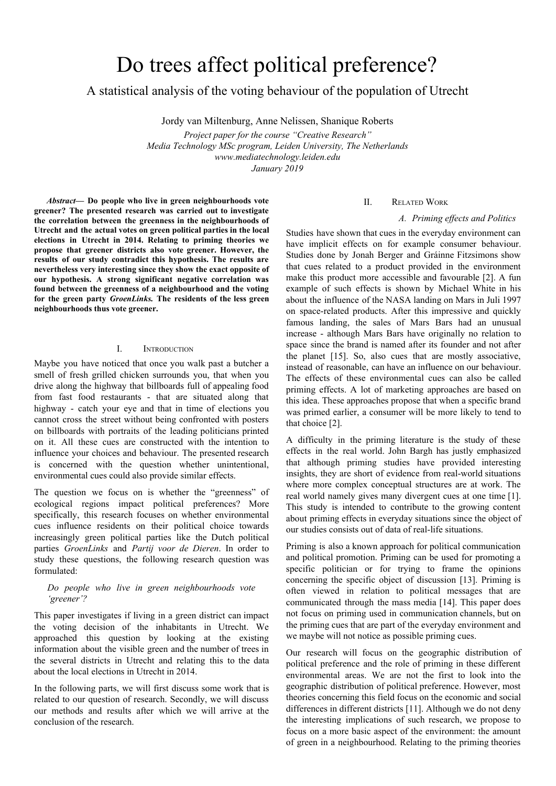# Do trees affect political preference?

A statistical analysis of the voting behaviour of the population of Utrecht

Jordy van Miltenburg, Anne Nelissen, Shanique Roberts

*Project paper for the course "Creative Research" Media Technology MSc program, Leiden University, The Netherlands www.mediatechnology.leiden.edu January 2019*

*Abstract***— Do people who live in green neighbourhoods vote greener? The presented research was carried out to investigate the correlation between the greenness in the neighbourhoods of Utrecht and the actual votes on green political parties in the local elections in Utrecht in 2014. Relating to priming theories we propose that greener districts also vote greener. However, the results of our study contradict this hypothesis. The results are nevertheless very interesting since they show the exact opposite of our hypothesis. A strong significant negative correlation was found between the greenness of a neighbourhood and the voting for the green party** *GroenLinks.* **The residents of the less green neighbourhoods thus vote greener.**

# I. INTRODUCTION

Maybe you have noticed that once you walk past a butcher a smell of fresh grilled chicken surrounds you, that when you drive along the highway that billboards full of appealing food from fast food restaurants - that are situated along that highway - catch your eye and that in time of elections you cannot cross the street without being confronted with posters on billboards with portraits of the leading politicians printed on it. All these cues are constructed with the intention to influence your choices and behaviour. The presented research is concerned with the question whether unintentional, environmental cues could also provide similar effects.

The question we focus on is whether the "greenness" of ecological regions impact political preferences? More specifically, this research focuses on whether environmental cues influence residents on their political choice towards increasingly green political parties like the Dutch political parties *GroenLinks* and *Partij voor de Dieren*. In order to study these questions, the following research question was formulated:

## *Do people who live in green neighbourhoods vote 'greener'?*

This paper investigates if living in a green district can impact the voting decision of the inhabitants in Utrecht. We approached this question by looking at the existing information about the visible green and the number of trees in the several districts in Utrecht and relating this to the data about the local elections in Utrecht in 2014.

In the following parts, we will first discuss some work that is related to our question of research. Secondly, we will discuss our methods and results after which we will arrive at the conclusion of the research.

# II. RELATED WORK

## *A. Priming ef ects and Politics*

Studies have shown that cues in the everyday environment can have implicit effects on for example consumer behaviour. Studies done by Jonah Berger and Gráinne Fitzsimons show that cues related to a product provided in the environment make this product more accessible and favourable [2]. A fun example of such effects is shown by Michael White in his about the influence of the NASA landing on Mars in Juli 1997 on space-related products. After this impressive and quickly famous landing, the sales of Mars Bars had an unusual increase - although Mars Bars have originally no relation to space since the brand is named after its founder and not after the planet [15]. So, also cues that are mostly associative, instead of reasonable, can have an influence on our behaviour. The effects of these environmental cues can also be called priming effects. A lot of marketing approaches are based on this idea. These approaches propose that when a specific brand was primed earlier, a consumer will be more likely to tend to that choice [2].

A difficulty in the priming literature is the study of these effects in the real world. John Bargh has justly emphasized that although priming studies have provided interesting insights, they are short of evidence from real-world situations where more complex conceptual structures are at work. The real world namely gives many divergent cues at one time [1]. This study is intended to contribute to the growing content about priming effects in everyday situations since the object of our studies consists out of data of real-life situations.

Priming is also a known approach for political communication and political promotion. Priming can be used for promoting a specific politician or for trying to frame the opinions concerning the specific object of discussion [13]. Priming is often viewed in relation to political messages that are communicated through the mass media [14]. This paper does not focus on priming used in communication channels, but on the priming cues that are part of the everyday environment and we maybe will not notice as possible priming cues.

Our research will focus on the geographic distribution of political preference and the role of priming in these different environmental areas. We are not the first to look into the geographic distribution of political preference. However, most theories concerning this field focus on the economic and social differences in different districts [11]. Although we do not deny the interesting implications of such research, we propose to focus on a more basic aspect of the environment: the amount of green in a neighbourhood. Relating to the priming theories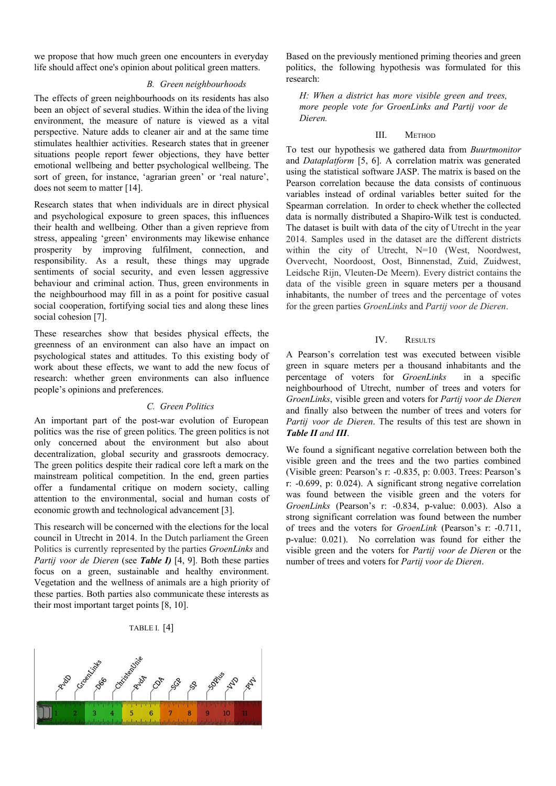we propose that how much green one encounters in everyday life should affect one's opinion about political green matters.

## *B. Green neighbourhoods*

The effects of green neighbourhoods on its residents has also been an object of several studies. Within the idea of the living environment, the measure of nature is viewed as a vital perspective. Nature adds to cleaner air and at the same time stimulates healthier activities. Research states that in greener situations people report fewer objections, they have better emotional wellbeing and better psychological wellbeing. The sort of green, for instance, 'agrarian green' or 'real nature', does not seem to matter [14].

Research states that when individuals are in direct physical and psychological exposure to green spaces, this influences their health and wellbeing. Other than a given reprieve from stress, appealing 'green' environments may likewise enhance prosperity by improving fulfilment, connection, and responsibility. As a result, these things may upgrade sentiments of social security, and even lessen aggressive behaviour and criminal action. Thus, green environments in the neighbourhood may fill in as a point for positive casual social cooperation, fortifying social ties and along these lines social cohesion [7].

These researches show that besides physical effects, the greenness of an environment can also have an impact on psychological states and attitudes. To this existing body of work about these effects, we want to add the new focus of research: whether green environments can also influence people's opinions and preferences.

## *C. Green Politics*

An important part of the post-war evolution of European politics was the rise of green politics. The green politics is not only concerned about the environment but also about decentralization, global security and grassroots democracy. The green politics despite their radical core left a mark on the mainstream political competition. In the end, green parties offer a fundamental critique on modern society, calling attention to the environmental, social and human costs of economic growth and technological advancement [3].

This research will be concerned with the elections for the local council in Utrecht in 2014. In the Dutch parliament the Green Politics is currently represented by the parties *GroenLinks* and *Partij voor de Dieren* (see *Table I)* [4, 9]. Both these parties focus on a green, sustainable and healthy environment. Vegetation and the wellness of animals are a high priority of these parties. Both parties also communicate these interests as their most important target points [8, 10].

# TABLE I. [4]



Based on the previously mentioned priming theories and green politics, the following hypothesis was formulated for this research:

*H: When a district has more visible green and trees, more people vote for GroenLinks and Partij voor de Dieren.*

# III. METHOD

To test our hypothesis we gathered data from *Buurtmonitor* and *Dataplatform* [5, 6]. A correlation matrix was generated using the statistical software JASP. The matrix is based on the Pearson correlation because the data consists of continuous variables instead of ordinal variables better suited for the Spearman correlation. In order to check whether the collected data is normally distributed a Shapiro-Wilk test is conducted. The dataset is built with data of the city of Utrecht in the year 2014. Samples used in the dataset are the different districts within the city of Utrecht, N=10 (West, Noordwest, Overvecht, Noordoost, Oost, Binnenstad, Zuid, Zuidwest, Leidsche Rijn, Vleuten-De Meern). Every district contains the data of the visible green in square meters per a thousand inhabitants, the number of trees and the percentage of votes for the green parties *GroenLinks* and *Partij voor de Dieren*.

## IV. RESULTS

A Pearson's correlation test was executed between visible green in square meters per a thousand inhabitants and the percentage of voters for *GroenLinks* in a specific neighbourhood of Utrecht, number of trees and voters for *GroenLinks*, visible green and voters for *Partij voor de Dieren* and finally also between the number of trees and voters for *Partij voor de Dieren*. The results of this test are shown in *Table II and III*.

We found a significant negative correlation between both the visible green and the trees and the two parties combined (Visible green: Pearson's r: -0.835, p: 0.003. Trees: Pearson's r: -0.699, p: 0.024). A significant strong negative correlation was found between the visible green and the voters for *GroenLinks* (Pearson's r: -0.834, p-value: 0.003). Also a strong significant correlation was found between the number of trees and the voters for *GroenLink* (Pearson's r: -0.711, p-value: 0.021). No correlation was found for either the visible green and the voters for *Partij voor de Dieren* or the number of trees and voters for *Partij voor de Dieren*.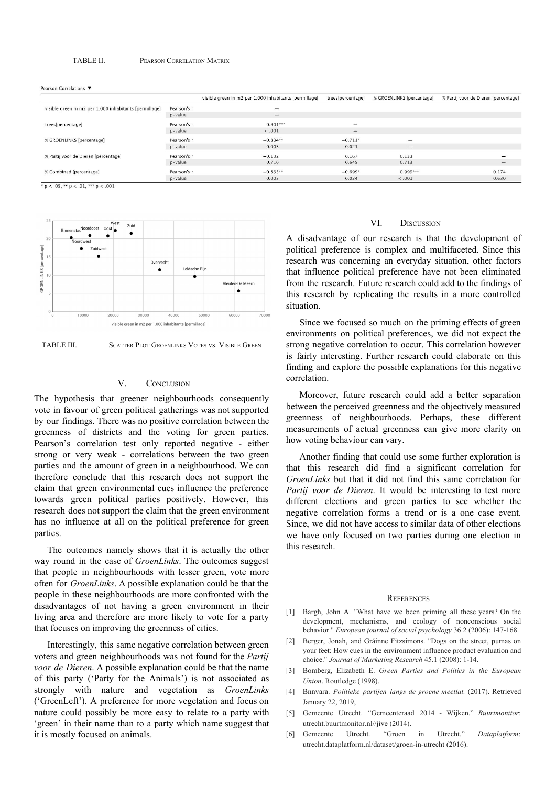#### TABLE II. PEARSON CORRELATION MATRIX

Pearson Correlations

|                                                        |             | visible green in m2 per 1.000 inhabitants [permillage] | trees[percentage]        | % GROENLINKS [percentage] | % Partij voor de Dieren [percentage] |
|--------------------------------------------------------|-------------|--------------------------------------------------------|--------------------------|---------------------------|--------------------------------------|
| visible green in m2 per 1.000 inhabitants [permillage] | Pearson's r | $\overline{\phantom{a}}$                               |                          |                           |                                      |
|                                                        | p-value     | $\hspace{0.1mm}$                                       |                          |                           |                                      |
| trees[percentage]                                      | Pearson's r | $0.901***$                                             | $\sim$                   |                           |                                      |
|                                                        | p-value     | < .001                                                 | $\overline{\phantom{m}}$ |                           |                                      |
| % GROENLINKS [percentage]                              | Pearson's r | $-0.834**$                                             | $-0.711*$                | $\sim$                    |                                      |
|                                                        | p-value     | 0.003                                                  | 0.021                    | $\qquad \qquad$           |                                      |
| % Partij voor de Dieren (percentage)                   | Pearson's r | $-0.132$                                               | 0.167                    | 0.133                     |                                      |
|                                                        | p-value     | 0.716                                                  | 0.645                    | 0.713                     | $\overline{\phantom{m}}$             |
| % Combined [percentage]                                | Pearson's r | $-0.835**$                                             | $-0.699*$                | $0.999***$                | 0.174                                |
|                                                        | p-value     | 0.003                                                  | 0.024                    | < .001                    | 0.630                                |

\*  $p < .05$ , \*\*  $p < .01$ , \*\*\*  $p < .001$ 





## V. CONCLUSION

The hypothesis that greener neighbourhoods consequently vote in favour of green political gatherings was not supported by our findings. There was no positive correlation between the greenness of districts and the voting for green parties. Pearson's correlation test only reported negative - either strong or very weak - correlations between the two green parties and the amount of green in a neighbourhood. We can therefore conclude that this research does not support the claim that green environmental cues influence the preference towards green political parties positively. However, this research does not support the claim that the green environment has no influence at all on the political preference for green parties.

The outcomes namely shows that it is actually the other way round in the case of *GroenLinks*. The outcomes suggest that people in neighbourhoods with lesser green, vote more often for *GroenLinks*. A possible explanation could be that the people in these neighbourhoods are more confronted with the disadvantages of not having a green environment in their living area and therefore are more likely to vote for a party that focuses on improving the greenness of cities.

Interestingly, this same negative correlation between green voters and green neighbourhoods was not found for the *Partij voor de Dieren*. A possible explanation could be that the name of this party ('Party for the Animals') is not associated as strongly with nature and vegetation as *GroenLinks* ('GreenLeft'). A preference for more vegetation and focus on nature could possibly be more easy to relate to a party with 'green' in their name than to a party which name suggest that it is mostly focused on animals.

#### VI. DISCUSSION

A disadvantage of our research is that the development of political preference is complex and multifaceted. Since this research was concerning an everyday situation, other factors that influence political preference have not been eliminated from the research. Future research could add to the findings of this research by replicating the results in a more controlled situation.

Since we focused so much on the priming effects of green environments on political preferences, we did not expect the strong negative correlation to occur. This correlation however is fairly interesting. Further research could elaborate on this finding and explore the possible explanations for this negative correlation.

Moreover, future research could add a better separation between the perceived greenness and the objectively measured greenness of neighbourhoods. Perhaps, these different measurements of actual greenness can give more clarity on how voting behaviour can vary.

Another finding that could use some further exploration is that this research did find a significant correlation for *GroenLinks* but that it did not find this same correlation for *Partij voor de Dieren*. It would be interesting to test more different elections and green parties to see whether the negative correlation forms a trend or is a one case event. Since, we did not have access to similar data of other elections we have only focused on two parties during one election in this research.

#### **REFERENCES**

- [1] Bargh, John A. "What have we been priming all these years? On the development, mechanisms, and ecology of nonconscious social behavior." *European journal of social psychology* 36.2 (2006): 147-168.
- [2] Berger, Jonah, and Gráinne Fitzsimons. "Dogs on the street, pumas on your feet: How cues in the environment influence product evaluation and choice." *Journal of Marketing Research* 45.1 (2008): 1-14.
- [3] Bomberg, Elizabeth E. *Green Parties and Politics in the European Union*. Routledge (1998).
- [4] Bnnvara. *Politieke partijen langs de groene meetlat.* (2017). Retrieved January 22, 2019,
- [5] Gemeente Utrecht. "Gemeenteraad 2014 Wijken." *Buurtmonitor*: utrecht.buurtmonitor.nl//jive (2014).
- [6] Gemeente Utrecht. "Groen in Utrecht." *Dataplatform*: utrecht.dataplatform.nl/dataset/groen-in-utrecht (2016).